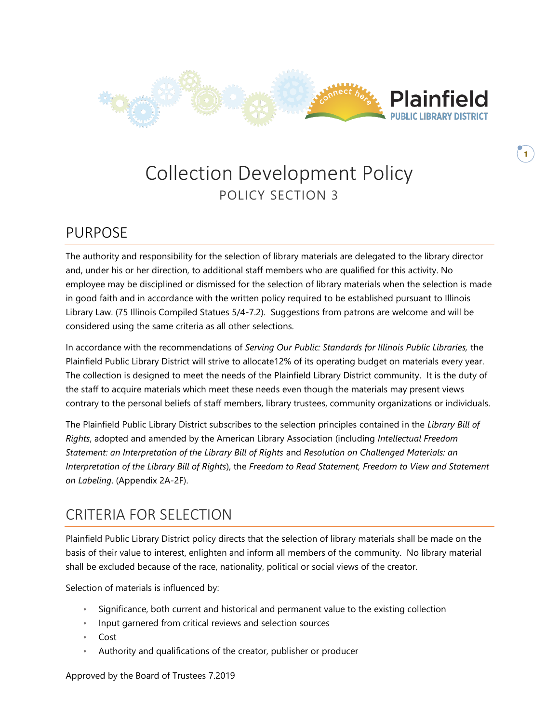

**1**

# Collection Development Policy POLICY SECTION 3

### PURPOSE

The authority and responsibility for the selection of library materials are delegated to the library director and, under his or her direction, to additional staff members who are qualified for this activity. No employee may be disciplined or dismissed for the selection of library materials when the selection is made in good faith and in accordance with the written policy required to be established pursuant to Illinois Library Law. (75 Illinois Compiled Statues 5/4-7.2). Suggestions from patrons are welcome and will be considered using the same criteria as all other selections.

In accordance with the recommendations of *Serving Our Public: Standards for Illinois Public Libraries,* the Plainfield Public Library District will strive to allocate12% of its operating budget on materials every year. The collection is designed to meet the needs of the Plainfield Library District community. It is the duty of the staff to acquire materials which meet these needs even though the materials may present views contrary to the personal beliefs of staff members, library trustees, community organizations or individuals.

The Plainfield Public Library District subscribes to the selection principles contained in the *Library Bill of Rights*, adopted and amended by the American Library Association (including *Intellectual Freedom Statement: an Interpretation of the Library Bill of Rights* and *Resolution on Challenged Materials: an Interpretation of the Library Bill of Rights*), the *Freedom to Read Statement, Freedom to View and Statement on Labeling*. (Appendix 2A-2F).

### CRITERIA FOR SELECTION

Plainfield Public Library District policy directs that the selection of library materials shall be made on the basis of their value to interest, enlighten and inform all members of the community. No library material shall be excluded because of the race, nationality, political or social views of the creator.

Selection of materials is influenced by:

- Significance, both current and historical and permanent value to the existing collection
- Input garnered from critical reviews and selection sources
- Cost
- Authority and qualifications of the creator, publisher or producer

Approved by the Board of Trustees 7.2019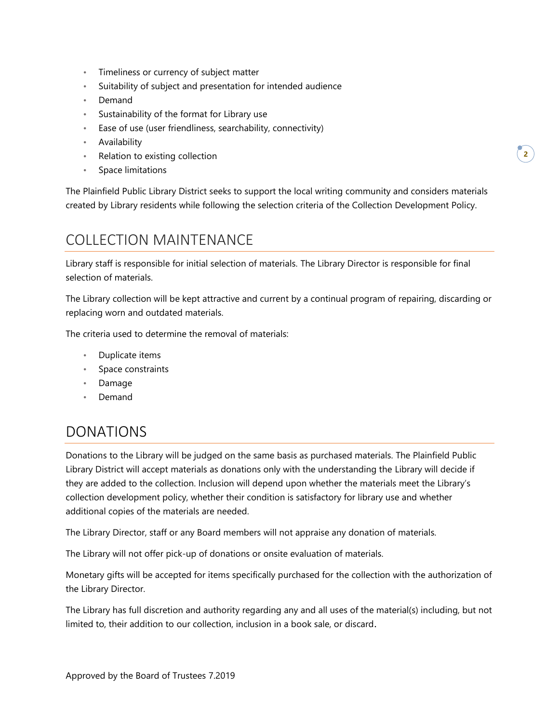- Timeliness or currency of subject matter
- Suitability of subject and presentation for intended audience
- Demand
- Sustainability of the format for Library use
- Ease of use (user friendliness, searchability, connectivity)
- Availability
- Relation to existing collection
- Space limitations

The Plainfield Public Library District seeks to support the local writing community and considers materials created by Library residents while following the selection criteria of the Collection Development Policy.

### COLLECTION MAINTENANCE

Library staff is responsible for initial selection of materials. The Library Director is responsible for final selection of materials.

The Library collection will be kept attractive and current by a continual program of repairing, discarding or replacing worn and outdated materials.

The criteria used to determine the removal of materials:

- Duplicate items
- Space constraints
- Damage
- Demand

#### DONATIONS

Donations to the Library will be judged on the same basis as purchased materials. The Plainfield Public Library District will accept materials as donations only with the understanding the Library will decide if they are added to the collection. Inclusion will depend upon whether the materials meet the Library's collection development policy, whether their condition is satisfactory for library use and whether additional copies of the materials are needed.

The Library Director, staff or any Board members will not appraise any donation of materials.

The Library will not offer pick-up of donations or onsite evaluation of materials.

Monetary gifts will be accepted for items specifically purchased for the collection with the authorization of the Library Director.

The Library has full discretion and authority regarding any and all uses of the material(s) including, but not limited to, their addition to our collection, inclusion in a book sale, or discard.